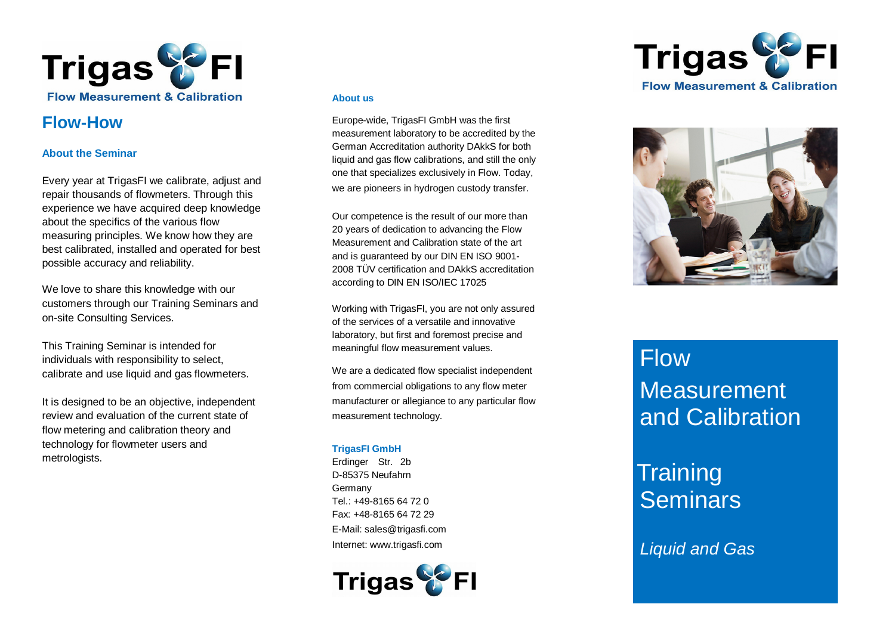

# **Flow -How**

# **About the Seminar**

Every year at TrigasFI we calibrate, adjust and repair thousands of flowmeters. Through this experience we have acquired deep knowledge about the specifics of the various flow measuring principles. We know how they are best calibrated, installed and operated for best possible accuracy and reliability.

We love to share this knowledge with our customers through our Training Seminars and on -site Consulting Services.

This Training Seminar is intended for individuals with responsibility to select, calibrate and use liquid and gas flowmeters.

It is designed to be an objective, independent review and evaluation of the current state of flow metering and calibration theory and technology for flowmeter users and metrologists.

# **About us**

Europe-wide, TrigasFI GmbH was the first measurement laboratory to be accredited by the German Accreditation authority DAkkS for both liquid and gas flow calibrations, and still the only one that specializes exclusively in Flow. Today, we are pioneers in hydrogen custody transfer.

Our competence is the result of our more than 20 years of dedication to advancing the Flow Measurement and Calibration state of the art and is guaranteed by our DIN EN ISO 9001 - 2008 T ÜV certification and DAkkS accreditation according to DIN EN ISO/IEC 17025

Working with TrigasFI, you are not only assured of the services of a versatile and innovative laboratory, but first and foremost precise and meaningful flow measurement values.

We are a dedicated flow specialist independent from commercial obligations to any flow meter manufacturer or allegiance to any particular flow measurement technology.

# **TrigasFI GmbH**

Erdinger Str. 2b D-85375 Neufahrn Germany  $Tel + 49-8165 64 72 0$ Fax: +48-8165 64 72 29 E-Mail: [sales@trigasfi.com](mailto:infofi@trigasfi.com) Internet: [www.trigasfi.com](http://www.trigasfi.com)







# **Flow Measurement** and Calibration

# **Training Seminars**

*Liquid and Gas*